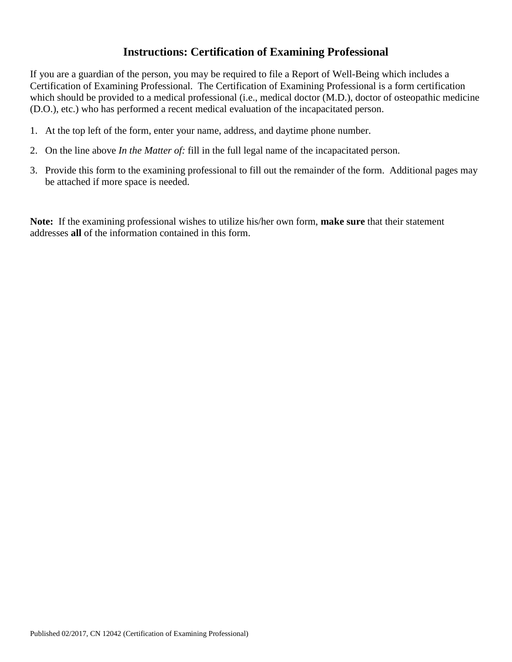## **Instructions: Certification of Examining Professional**

If you are a guardian of the person, you may be required to file a Report of Well-Being which includes a Certification of Examining Professional. The Certification of Examining Professional is a form certification which should be provided to a medical professional (i.e., medical doctor (M.D.), doctor of osteopathic medicine (D.O.), etc.) who has performed a recent medical evaluation of the incapacitated person.

- 1. At the top left of the form, enter your name, address, and daytime phone number.
- 2. On the line above *In the Matter of:* fill in the full legal name of the incapacitated person.
- 3. Provide this form to the examining professional to fill out the remainder of the form. Additional pages may be attached if more space is needed.

**Note:** If the examining professional wishes to utilize his/her own form, **make sure** that their statement addresses **all** of the information contained in this form.